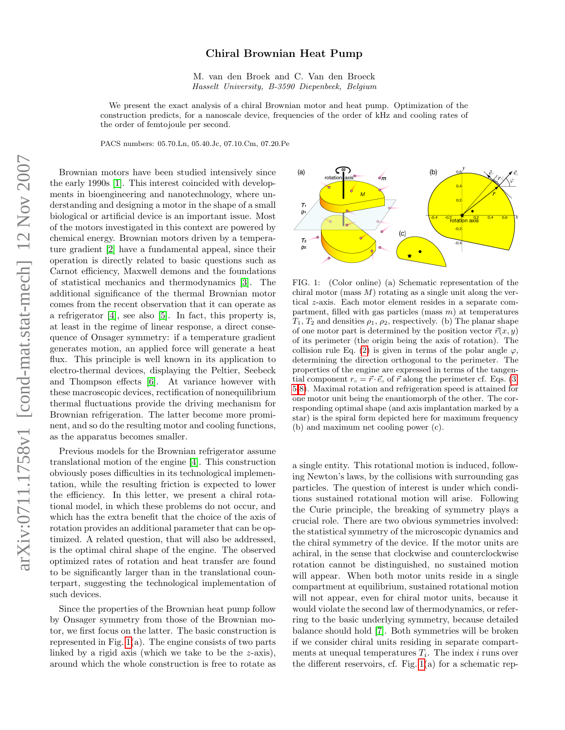## Chiral Brownian Heat Pump

M. van den Broek and C. Van den Broeck Hasselt University, B-3590 Diepenbeek, Belgium

We present the exact analysis of a chiral Brownian motor and heat pump. Optimization of the construction predicts, for a nanoscale device, frequencies of the order of kHz and cooling rates of the order of femtojoule per second.

PACS numbers: 05.70.Ln, 05.40.Jc, 07.10.Cm, 07.20.Pe

Brownian motors have been studied intensively since the early 1990s [\[1\]](#page-3-0). This interest coincided with developments in bioengineering and nanotechnology, where understanding and designing a motor in the shape of a small biological or artificial device is an important issue. Most of the motors investigated in this context are powered by chemical energy. Brownian motors driven by a temperature gradient [\[2\]](#page-3-1) have a fundamental appeal, since their operation is directly related to basic questions such as Carnot efficiency, Maxwell demons and the foundations of statistical mechanics and thermodynamics [\[3\]](#page-3-2). The additional significance of the thermal Brownian motor comes from the recent observation that it can operate as a refrigerator [\[4\]](#page-3-3), see also [\[5\]](#page-3-4). In fact, this property is, at least in the regime of linear response, a direct consequence of Onsager symmetry: if a temperature gradient generates motion, an applied force will generate a heat flux. This principle is well known in its application to electro-thermal devices, displaying the Peltier, Seebeck and Thompson effects [\[6\]](#page-3-5). At variance however with these macroscopic devices, rectification of nonequilibrium thermal fluctuations provide the driving mechanism for Brownian refrigeration. The latter become more prominent, and so do the resulting motor and cooling functions, as the apparatus becomes smaller.

Previous models for the Brownian refrigerator assume translational motion of the engine [\[4\]](#page-3-3). This construction obviously poses difficulties in its technological implementation, while the resulting friction is expected to lower the efficiency. In this letter, we present a chiral rotational model, in which these problems do not occur, and which has the extra benefit that the choice of the axis of rotation provides an additional parameter that can be optimized. A related question, that will also be addressed, is the optimal chiral shape of the engine. The observed optimized rates of rotation and heat transfer are found to be significantly larger than in the translational counterpart, suggesting the technological implementation of such devices.

Since the properties of the Brownian heat pump follow by Onsager symmetry from those of the Brownian motor, we first focus on the latter. The basic construction is represented in Fig.  $1(a)$ . The engine consists of two parts linked by a rigid axis (which we take to be the  $z$ -axis), around which the whole construction is free to rotate as



<span id="page-0-0"></span>FIG. 1: (Color online) (a) Schematic representation of the chiral motor (mass  $M$ ) rotating as a single unit along the vertical z-axis. Each motor element resides in a separate compartment, filled with gas particles (mass  $m$ ) at temperatures  $T_1, T_2$  and densities  $\rho_1, \rho_2$ , respectively. (b) The planar shape of one motor part is determined by the position vector  $\vec{r}(x, y)$ of its perimeter (the origin being the axis of rotation). The collision rule Eq. [\(2\)](#page-1-0) is given in terms of the polar angle  $\varphi$ , determining the direction orthogonal to the perimeter. The properties of the engine are expressed in terms of the tangential component  $r_{\parallel} = \vec{r} \cdot \vec{e}_{\parallel}$  of  $\vec{r}$  along the perimeter cf. Eqs. [\(3,](#page-1-1) [5-](#page-1-2)[8\)](#page-2-0). Maximal rotation and refrigeration speed is attained for one motor unit being the enantiomorph of the other. The corresponding optimal shape (and axis implantation marked by a star) is the spiral form depicted here for maximum frequency (b) and maximum net cooling power (c).

a single entity. This rotational motion is induced, following Newton's laws, by the collisions with surrounding gas particles. The question of interest is under which conditions sustained rotational motion will arise. Following the Curie principle, the breaking of symmetry plays a crucial role. There are two obvious symmetries involved: the statistical symmetry of the microscopic dynamics and the chiral symmetry of the device. If the motor units are achiral, in the sense that clockwise and counterclockwise rotation cannot be distinguished, no sustained motion will appear. When both motor units reside in a single compartment at equilibrium, sustained rotational motion will not appear, even for chiral motor units, because it would violate the second law of thermodynamics, or referring to the basic underlying symmetry, because detailed balance should hold [\[7\]](#page-3-6). Both symmetries will be broken if we consider chiral units residing in separate compartments at unequal temperatures  $T_i$ . The index i runs over the different reservoirs, cf. Fig.  $1(a)$  for a schematic rep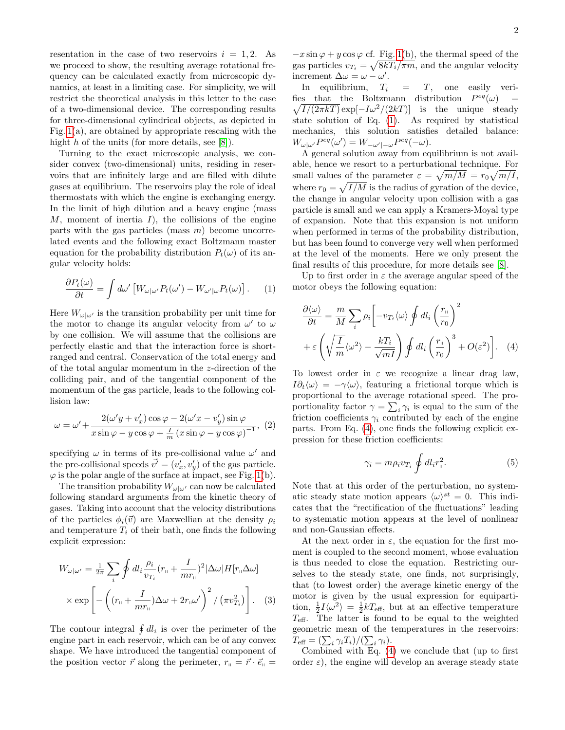resentation in the case of two reservoirs  $i = 1, 2$ . As we proceed to show, the resulting average rotational frequency can be calculated exactly from microscopic dynamics, at least in a limiting case. For simplicity, we will restrict the theoretical analysis in this letter to the case of a two-dimensional device. The corresponding results for three-dimensional cylindrical objects, as depicted in Fig. [1\(](#page-0-0)a), are obtained by appropriate rescaling with the hight  $h$  of the units (for more details, see [\[8\]](#page-3-7)).

Turning to the exact microscopic analysis, we consider convex (two-dimensional) units, residing in reservoirs that are infinitely large and are filled with dilute gases at equilibrium. The reservoirs play the role of ideal thermostats with which the engine is exchanging energy. In the limit of high dilution and a heavy engine (mass  $M$ , moment of inertia  $I$ ), the collisions of the engine parts with the gas particles (mass  $m$ ) become uncorrelated events and the following exact Boltzmann master equation for the probability distribution  $P_t(\omega)$  of its angular velocity holds:

<span id="page-1-3"></span>
$$
\frac{\partial P_t(\omega)}{\partial t} = \int d\omega' \left[ W_{\omega|\omega'} P_t(\omega') - W_{\omega'|\omega} P_t(\omega) \right]. \tag{1}
$$

Here  $W_{\omega|\omega'}$  is the transition probability per unit time for the motor to change its angular velocity from  $\omega'$  to  $\omega$ by one collision. We will assume that the collisions are perfectly elastic and that the interaction force is shortranged and central. Conservation of the total energy and of the total angular momentum in the z-direction of the colliding pair, and of the tangential component of the momentum of the gas particle, leads to the following collision law:

<span id="page-1-0"></span>
$$
\omega = \omega' + \frac{2(\omega' y + v'_x)\cos\varphi - 2(\omega' x - v'_y)\sin\varphi}{x\sin\varphi - y\cos\varphi + \frac{1}{m}(x\sin\varphi - y\cos\varphi)^{-1}}, (2)
$$

specifying  $\omega$  in terms of its pre-collisional value  $\omega'$  and the pre-collisional speeds  $\vec{v'} = (v'_x, v'_y)$  of the gas particle.  $\varphi$  is the polar angle of the surface at impact, see Fig. [1\(](#page-0-0)b).

The transition probability  $W_{\omega|\omega'}$  can now be calculated following standard arguments from the kinetic theory of gases. Taking into account that the velocity distributions of the particles  $\phi_i(\vec{v})$  are Maxwellian at the density  $\rho_i$ and temperature  $T_i$  of their bath, one finds the following explicit expression:

$$
W_{\omega|\omega'} = \frac{1}{2\pi} \sum_{i} \oint dl_i \frac{\rho_i}{v_{T_i}} (r_{\shortparallel} + \frac{I}{mr_{\shortparallel}})^2 |\Delta\omega| H[r_{\shortparallel} \Delta\omega]
$$

$$
\times \exp \left[ -\left( (r_{\shortparallel} + \frac{I}{mr_{\shortparallel}}) \Delta\omega + 2r_{\shortparallel} \omega' \right)^2 / \left( \pi v_{T_i}^2 \right) \right]. \quad (3)
$$

The contour integral  $\oint dl_i$  is over the perimeter of the engine part in each reservoir, which can be of any convex shape. We have introduced the tangential component of the position vector  $\vec{r}$  along the perimeter,  $r_{\parallel} = \vec{r} \cdot \vec{e}_{\parallel}$   $-x\sin\varphi + y\cos\varphi$  cf. Fig. [1\(](#page-0-0)b), the thermal speed of the gas particles  $v_{T_i} = \sqrt{8kT_i/\pi m}$ , and the angular velocity increment  $\Delta \omega = \omega - \omega'$ .

In equilibrium,  $T_i = T$ , one easily verifies that the Boltzmann distribution  $P^{eq}(\omega)$  =  $\sqrt{I/(2\pi kT)}$  exp $[-I\omega^2/(2kT)]$  is the unique steady state solution of Eq. [\(1\)](#page-1-3). As required by statistical mechanics, this solution satisfies detailed balance:  $W_{\omega|\omega'}P^{eq}(\omega')=W_{-\omega'|- \omega}P^{eq}(-\omega).$ 

A general solution away from equilibrium is not available, hence we resort to a perturbational technique. For small values of the parameter  $\varepsilon = \sqrt{m/M} = r_0 \sqrt{m/I}$ , where  $r_0 = \sqrt{I/M}$  is the radius of gyration of the device, the change in angular velocity upon collision with a gas particle is small and we can apply a Kramers-Moyal type of expansion. Note that this expansion is not uniform when performed in terms of the probability distribution, but has been found to converge very well when performed at the level of the moments. Here we only present the final results of this procedure, for more details see [\[8\]](#page-3-7).

Up to first order in  $\varepsilon$  the average angular speed of the motor obeys the following equation:

$$
\frac{\partial \langle \omega \rangle}{\partial t} = \frac{m}{M} \sum_{i} \rho_{i} \left[ -v_{T_{i}} \langle \omega \rangle \oint dl_{i} \left( \frac{r_{\shortparallel}}{r_{0}} \right)^{2} + \varepsilon \left( \sqrt{\frac{I}{m}} \langle \omega^{2} \rangle - \frac{kT_{i}}{\sqrt{mI}} \right) \oint dl_{i} \left( \frac{r_{\shortparallel}}{r_{0}} \right)^{3} + O(\varepsilon^{2}) \right]. \tag{4}
$$

To lowest order in  $\varepsilon$  we recognize a linear drag law,  $I\partial_t\langle\omega\rangle = -\gamma\langle\omega\rangle$ , featuring a frictional torque which is proportional to the average rotational speed. The proportionality factor  $\gamma = \sum_i \gamma_i$  is equal to the sum of the friction coefficients  $\gamma_i$  contributed by each of the engine parts. From Eq. [\(4\)](#page-1-4), one finds the following explicit expression for these friction coefficients:

<span id="page-1-4"></span><span id="page-1-2"></span>
$$
\gamma_i = m \rho_i v_{T_i} \oint dl_i r_{\shortparallel}^2. \tag{5}
$$

Note that at this order of the perturbation, no systematic steady state motion appears  $\langle \omega \rangle^{st} = 0$ . This indicates that the "rectification of the fluctuations" leading to systematic motion appears at the level of nonlinear and non-Gaussian effects.

<span id="page-1-1"></span>At the next order in  $\varepsilon$ , the equation for the first moment is coupled to the second moment, whose evaluation is thus needed to close the equation. Restricting ourselves to the steady state, one finds, not surprisingly, that (to lowest order) the average kinetic energy of the motor is given by the usual expression for equipartition,  $\frac{1}{2}I\langle \omega^2 \rangle = \frac{1}{2}kT_{\text{eff}}$ , but at an effective temperature  $T_{\text{eff}}$ . The latter is found to be equal to the weighted geometric mean of the temperatures in the reservoirs:  $T_{\text{eff}} = \left(\sum_i \gamma_i T_i\right) / (\sum_i \gamma_i).$ 

Combined with Eq. [\(4\)](#page-1-4) we conclude that (up to first order  $\varepsilon$ ), the engine will develop an average steady state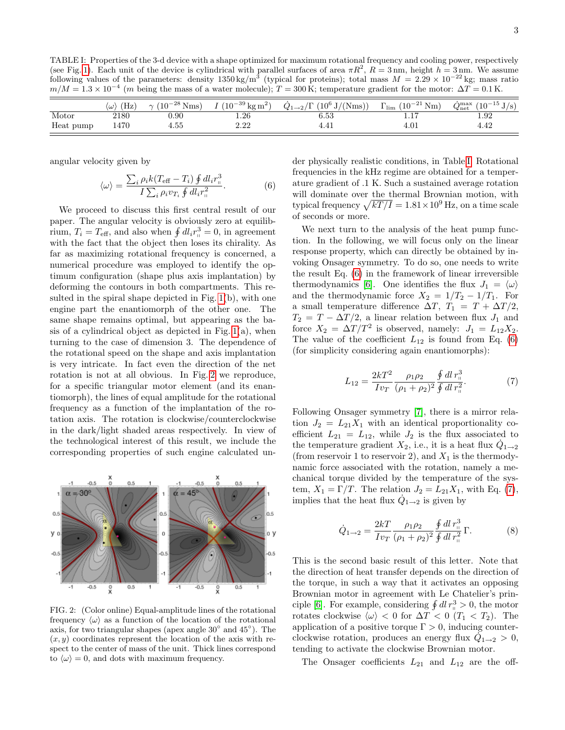<span id="page-2-2"></span>TABLE I: Properties of the 3-d device with a shape optimized for maximum rotational frequency and cooling power, respectively (see Fig. [1\)](#page-0-0). Each unit of the device is cylindrical with parallel surfaces of area  $\pi R^2$ ,  $R = 3$  nm, height  $h = 3$  nm. We assume following values of the parameters: density  $1350 \text{ kg/m}^3$  (typical for proteins); total mass  $M = 2.29 \times 10^{-22} \text{ kg}$ ; mass ratio  $m/M = 1.3 \times 10^{-4}$  (m being the mass of a water molecule);  $T = 300$  K; temperature gradient for the motor:  $\Delta T = 0.1$  K.

|           | $(H_Z)$<br>$\langle \omega \rangle$ |      | $\gamma$ (10 <sup>-28</sup> Nms) $I(10^{-39} \text{ kg m}^2)$ | $\dot{Q}_{1\rightarrow 2}/\Gamma$ (10 <sup>6</sup> J/(Nms)) | $\Gamma_{\rm lim}$ $(10^{-21} \text{ Nm})$ | $\dot{Q}_{\text{net}}^{\text{max}} (10^{-15} \text{ J/s})$ |
|-----------|-------------------------------------|------|---------------------------------------------------------------|-------------------------------------------------------------|--------------------------------------------|------------------------------------------------------------|
| Motor     | 2180                                | 0.90 | 1.26                                                          | 6.53                                                        | 1.1                                        | 1.92                                                       |
| Heat pump | 1470                                | 4.55 | $2.22\,$                                                      | 4.4 <sub>1</sub>                                            | 4.01                                       | 4.42                                                       |

angular velocity given by

<span id="page-2-3"></span>
$$
\langle \omega \rangle = \frac{\sum_{i} \rho_{i} k (T_{\text{eff}} - T_{i}) \oint dl_{i} r_{\text{n}}^{3}}{I \sum_{i} \rho_{i} v_{T_{i}} \oint dl_{i} r_{\text{n}}^{2}}.
$$
 (6)

We proceed to discuss this first central result of our paper. The angular velocity is obviously zero at equilibrium,  $T_i = T_{\text{eff}}$ , and also when  $\oint dl_i r_{\text{u}}^3 = 0$ , in agreement with the fact that the object then loses its chirality. As far as maximizing rotational frequency is concerned, a numerical procedure was employed to identify the optimum configuration (shape plus axis implantation) by deforming the contours in both compartments. This resulted in the spiral shape depicted in Fig. [1\(](#page-0-0)b), with one engine part the enantiomorph of the other one. The same shape remains optimal, but appearing as the basis of a cylindrical object as depicted in Fig.  $1(a)$ , when turning to the case of dimension 3. The dependence of the rotational speed on the shape and axis implantation is very intricate. In fact even the direction of the net rotation is not at all obvious. In Fig. [2](#page-2-1) we reproduce, for a specific triangular motor element (and its enantiomorph), the lines of equal amplitude for the rotational frequency as a function of the implantation of the rotation axis. The rotation is clockwise/counterclockwise in the dark/light shaded areas respectively. In view of the technological interest of this result, we include the corresponding properties of such engine calculated un-



<span id="page-2-1"></span>FIG. 2: (Color online) Equal-amplitude lines of the rotational frequency  $\langle \omega \rangle$  as a function of the location of the rotational axis, for two triangular shapes (apex angle 30◦ and 45◦ ). The  $(x, y)$  coordinates represent the location of the axis with respect to the center of mass of the unit. Thick lines correspond to  $\langle \omega \rangle = 0$ , and dots with maximum frequency.

der physically realistic conditions, in Table [I.](#page-2-2) Rotational frequencies in the kHz regime are obtained for a temperature gradient of .1 K. Such a sustained average rotation will dominate over the thermal Brownian motion, with typical frequency  $\sqrt{kT/I} = 1.81 \times 10^9$  Hz, on a time scale of seconds or more.

We next turn to the analysis of the heat pump function. In the following, we will focus only on the linear response property, which can directly be obtained by invoking Onsager symmetry. To do so, one needs to write the result Eq. [\(6\)](#page-2-3) in the framework of linear irreversible thermodynamics [\[6\]](#page-3-5). One identifies the flux  $J_1 = \langle \omega \rangle$ and the thermodynamic force  $X_2 = 1/T_2 - 1/T_1$ . For a small temperature difference  $\Delta T$ ,  $T_1 = T + \Delta T/2$ ,  $T_2 = T - \Delta T/2$ , a linear relation between flux  $J_1$  and force  $X_2 = \Delta T/T^2$  is observed, namely:  $J_1 = L_{12}X_2$ . The value of the coefficient  $L_{12}$  is found from Eq. [\(6\)](#page-2-3) (for simplicity considering again enantiomorphs):

<span id="page-2-4"></span>
$$
L_{12} = \frac{2kT^2}{Iv_T} \frac{\rho_1 \rho_2}{(\rho_1 + \rho_2)^2} \frac{\oint dl \, r_{\shortparallel}^3}{\oint dl \, r_{\shortparallel}^2}.
$$
 (7)

Following Onsager symmetry [\[7\]](#page-3-6), there is a mirror relation  $J_2 = L_{21}X_1$  with an identical proportionality coefficient  $L_{21} = L_{12}$ , while  $J_2$  is the flux associated to the temperature gradient  $X_2$ , i.e., it is a heat flux  $\dot{Q}_{1\rightarrow 2}$ (from reservoir 1 to reservoir 2), and  $X_1$  is the thermodynamic force associated with the rotation, namely a mechanical torque divided by the temperature of the system,  $X_1 = \Gamma/T$ . The relation  $J_2 = L_{21}X_1$ , with Eq. [\(7\)](#page-2-4), implies that the heat flux  $\dot{Q}_{1\rightarrow 2}$  is given by

<span id="page-2-0"></span>
$$
\dot{Q}_{1\to 2} = \frac{2kT}{Iv_T} \frac{\rho_1 \rho_2}{(\rho_1 + \rho_2)^2} \frac{\oint dl \, r_{\shortparallel}^3}{\oint dl \, r_{\shortparallel}^2} \, \Gamma. \tag{8}
$$

This is the second basic result of this letter. Note that the direction of heat transfer depends on the direction of the torque, in such a way that it activates an opposing Brownian motor in agreement with Le Chatelier's prin-ciple [\[6\]](#page-3-5). For example, considering  $\oint dl r_{\parallel}^3 > 0$ , the motor rotates clockwise  $\langle \omega \rangle < 0$  for  $\Delta T < 0$   $(T_1 < T_2)$ . The application of a positive torque  $\Gamma > 0$ , inducing counterclockwise rotation, produces an energy flux  $\ddot{Q}_{1\rightarrow 2} > 0$ , tending to activate the clockwise Brownian motor.

The Onsager coefficients  $L_{21}$  and  $L_{12}$  are the off-